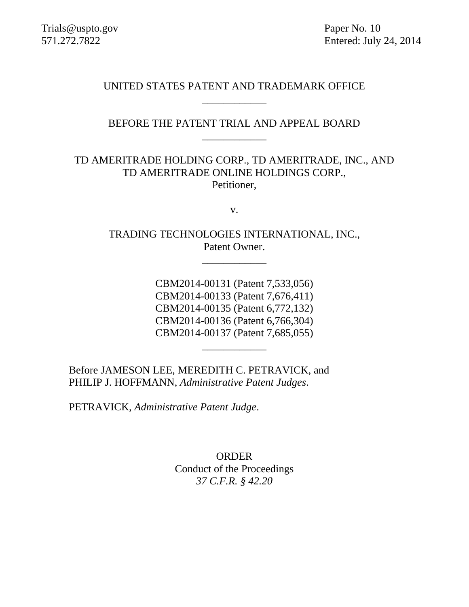571.272.7822 Entered: July 24, 2014

UNITED STATES PATENT AND TRADEMARK OFFICE \_\_\_\_\_\_\_\_\_\_\_\_

## BEFORE THE PATENT TRIAL AND APPEAL BOARD \_\_\_\_\_\_\_\_\_\_\_\_

# TD AMERITRADE HOLDING CORP., TD AMERITRADE, INC., AND TD AMERITRADE ONLINE HOLDINGS CORP., Petitioner,

v.

TRADING TECHNOLOGIES INTERNATIONAL, INC., Patent Owner.

\_\_\_\_\_\_\_\_\_\_\_\_

CBM2014-00131 (Patent 7,533,056) CBM2014-00133 (Patent 7,676,411) CBM2014-00135 (Patent 6,772,132) CBM2014-00136 (Patent 6,766,304) CBM2014-00137 (Patent 7,685,055)

\_\_\_\_\_\_\_\_\_\_\_\_

Before JAMESON LEE, MEREDITH C. PETRAVICK, and PHILIP J. HOFFMANN, *Administrative Patent Judges*.

PETRAVICK, *Administrative Patent Judge*.

ORDER Conduct of the Proceedings *37 C.F.R. § 42.20*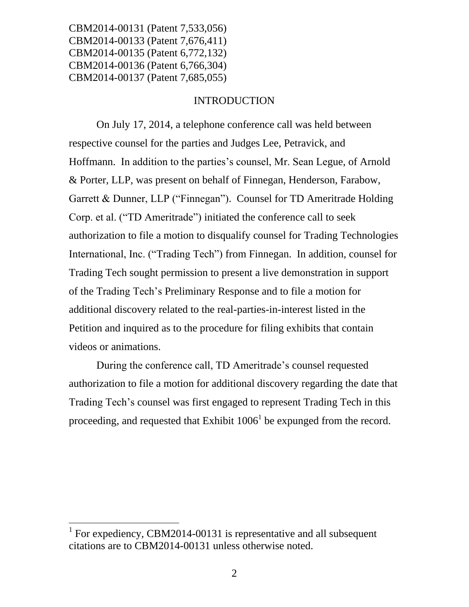#### INTRODUCTION

On July 17, 2014, a telephone conference call was held between respective counsel for the parties and Judges Lee, Petravick, and Hoffmann. In addition to the parties's counsel, Mr. Sean Legue, of Arnold & Porter, LLP, was present on behalf of Finnegan, Henderson, Farabow, Garrett & Dunner, LLP ("Finnegan"). Counsel for TD Ameritrade Holding Corp. et al. ("TD Ameritrade") initiated the conference call to seek authorization to file a motion to disqualify counsel for Trading Technologies International, Inc. ("Trading Tech") from Finnegan. In addition, counsel for Trading Tech sought permission to present a live demonstration in support of the Trading Tech's Preliminary Response and to file a motion for additional discovery related to the real-parties-in-interest listed in the Petition and inquired as to the procedure for filing exhibits that contain videos or animations.

During the conference call, TD Ameritrade's counsel requested authorization to file a motion for additional discovery regarding the date that Trading Tech's counsel was first engaged to represent Trading Tech in this proceeding, and requested that Exhibit  $1006<sup>1</sup>$  be expunged from the record.

 $\overline{a}$ 

<sup>&</sup>lt;sup>1</sup> For expediency, CBM2014-00131 is representative and all subsequent citations are to CBM2014-00131 unless otherwise noted.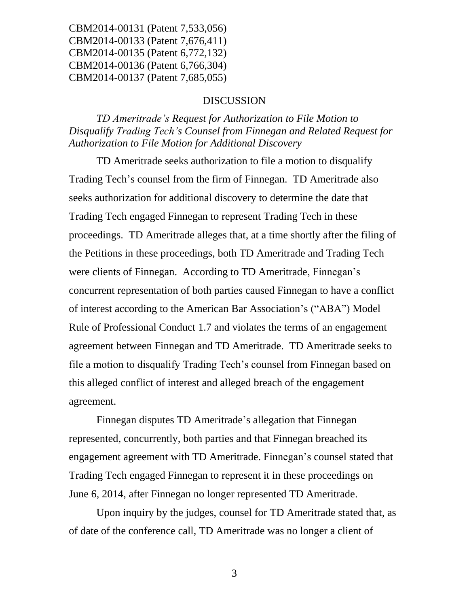#### DISCUSSION

*TD Ameritrade's Request for Authorization to File Motion to Disqualify Trading Tech's Counsel from Finnegan and Related Request for Authorization to File Motion for Additional Discovery*

TD Ameritrade seeks authorization to file a motion to disqualify Trading Tech's counsel from the firm of Finnegan. TD Ameritrade also seeks authorization for additional discovery to determine the date that Trading Tech engaged Finnegan to represent Trading Tech in these proceedings. TD Ameritrade alleges that, at a time shortly after the filing of the Petitions in these proceedings, both TD Ameritrade and Trading Tech were clients of Finnegan. According to TD Ameritrade, Finnegan's concurrent representation of both parties caused Finnegan to have a conflict of interest according to the American Bar Association's ("ABA") Model Rule of Professional Conduct 1.7 and violates the terms of an engagement agreement between Finnegan and TD Ameritrade. TD Ameritrade seeks to file a motion to disqualify Trading Tech's counsel from Finnegan based on this alleged conflict of interest and alleged breach of the engagement agreement.

Finnegan disputes TD Ameritrade's allegation that Finnegan represented, concurrently, both parties and that Finnegan breached its engagement agreement with TD Ameritrade. Finnegan's counsel stated that Trading Tech engaged Finnegan to represent it in these proceedings on June 6, 2014, after Finnegan no longer represented TD Ameritrade.

Upon inquiry by the judges, counsel for TD Ameritrade stated that, as of date of the conference call, TD Ameritrade was no longer a client of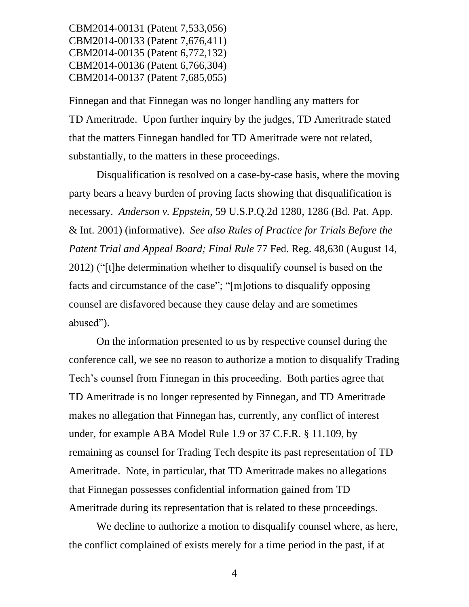Finnegan and that Finnegan was no longer handling any matters for TD Ameritrade. Upon further inquiry by the judges, TD Ameritrade stated that the matters Finnegan handled for TD Ameritrade were not related, substantially, to the matters in these proceedings.

Disqualification is resolved on a case-by-case basis, where the moving party bears a heavy burden of proving facts showing that disqualification is necessary. *Anderson v. Eppstein*, 59 U.S.P.Q.2d 1280, 1286 (Bd. Pat. App. & Int. 2001) (informative). *See also Rules of Practice for Trials Before the Patent Trial and Appeal Board; Final Rule* 77 Fed. Reg. 48,630 (August 14, 2012) ("[t]he determination whether to disqualify counsel is based on the facts and circumstance of the case"; "[m]otions to disqualify opposing counsel are disfavored because they cause delay and are sometimes abused").

On the information presented to us by respective counsel during the conference call, we see no reason to authorize a motion to disqualify Trading Tech's counsel from Finnegan in this proceeding. Both parties agree that TD Ameritrade is no longer represented by Finnegan, and TD Ameritrade makes no allegation that Finnegan has, currently, any conflict of interest under, for example ABA Model Rule 1.9 or 37 C.F.R. § 11.109, by remaining as counsel for Trading Tech despite its past representation of TD Ameritrade. Note, in particular, that TD Ameritrade makes no allegations that Finnegan possesses confidential information gained from TD Ameritrade during its representation that is related to these proceedings.

We decline to authorize a motion to disqualify counsel where, as here, the conflict complained of exists merely for a time period in the past, if at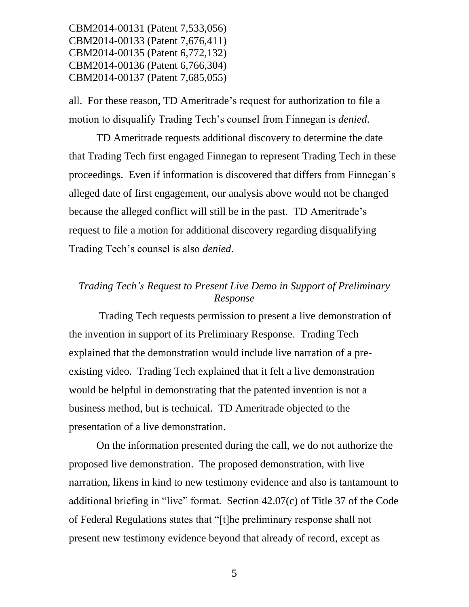all. For these reason, TD Ameritrade's request for authorization to file a motion to disqualify Trading Tech's counsel from Finnegan is *denied*.

TD Ameritrade requests additional discovery to determine the date that Trading Tech first engaged Finnegan to represent Trading Tech in these proceedings. Even if information is discovered that differs from Finnegan's alleged date of first engagement, our analysis above would not be changed because the alleged conflict will still be in the past. TD Ameritrade's request to file a motion for additional discovery regarding disqualifying Trading Tech's counsel is also *denied*.

## *Trading Tech's Request to Present Live Demo in Support of Preliminary Response*

Trading Tech requests permission to present a live demonstration of the invention in support of its Preliminary Response. Trading Tech explained that the demonstration would include live narration of a preexisting video. Trading Tech explained that it felt a live demonstration would be helpful in demonstrating that the patented invention is not a business method, but is technical. TD Ameritrade objected to the presentation of a live demonstration.

On the information presented during the call, we do not authorize the proposed live demonstration. The proposed demonstration, with live narration, likens in kind to new testimony evidence and also is tantamount to additional briefing in "live" format. Section 42.07(c) of Title 37 of the Code of Federal Regulations states that "[t]he preliminary response shall not present new testimony evidence beyond that already of record, except as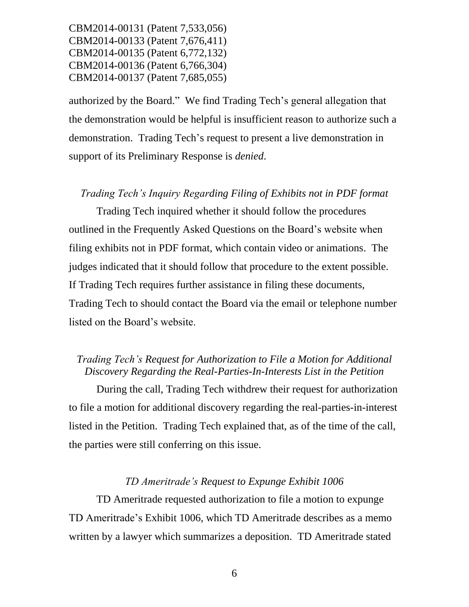authorized by the Board." We find Trading Tech's general allegation that the demonstration would be helpful is insufficient reason to authorize such a demonstration. Trading Tech's request to present a live demonstration in support of its Preliminary Response is *denied*.

## *Trading Tech's Inquiry Regarding Filing of Exhibits not in PDF format*

Trading Tech inquired whether it should follow the procedures outlined in the Frequently Asked Questions on the Board's website when filing exhibits not in PDF format, which contain video or animations. The judges indicated that it should follow that procedure to the extent possible. If Trading Tech requires further assistance in filing these documents, Trading Tech to should contact the Board via the email or telephone number listed on the Board's website.

## *Trading Tech's Request for Authorization to File a Motion for Additional Discovery Regarding the Real-Parties-In-Interests List in the Petition*

During the call, Trading Tech withdrew their request for authorization to file a motion for additional discovery regarding the real-parties-in-interest listed in the Petition. Trading Tech explained that, as of the time of the call, the parties were still conferring on this issue.

#### *TD Ameritrade's Request to Expunge Exhibit 1006*

TD Ameritrade requested authorization to file a motion to expunge TD Ameritrade's Exhibit 1006, which TD Ameritrade describes as a memo written by a lawyer which summarizes a deposition. TD Ameritrade stated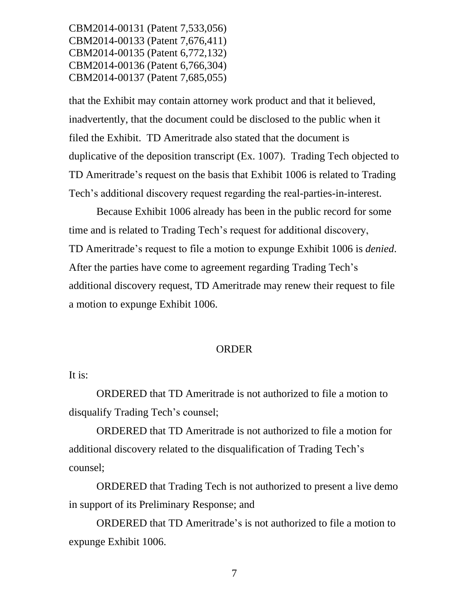that the Exhibit may contain attorney work product and that it believed, inadvertently, that the document could be disclosed to the public when it filed the Exhibit. TD Ameritrade also stated that the document is duplicative of the deposition transcript (Ex. 1007). Trading Tech objected to TD Ameritrade's request on the basis that Exhibit 1006 is related to Trading Tech's additional discovery request regarding the real-parties-in-interest.

Because Exhibit 1006 already has been in the public record for some time and is related to Trading Tech's request for additional discovery, TD Ameritrade's request to file a motion to expunge Exhibit 1006 is *denied*. After the parties have come to agreement regarding Trading Tech's additional discovery request, TD Ameritrade may renew their request to file a motion to expunge Exhibit 1006.

#### ORDER

#### It is:

ORDERED that TD Ameritrade is not authorized to file a motion to disqualify Trading Tech's counsel;

ORDERED that TD Ameritrade is not authorized to file a motion for additional discovery related to the disqualification of Trading Tech's counsel;

ORDERED that Trading Tech is not authorized to present a live demo in support of its Preliminary Response; and

ORDERED that TD Ameritrade's is not authorized to file a motion to expunge Exhibit 1006.